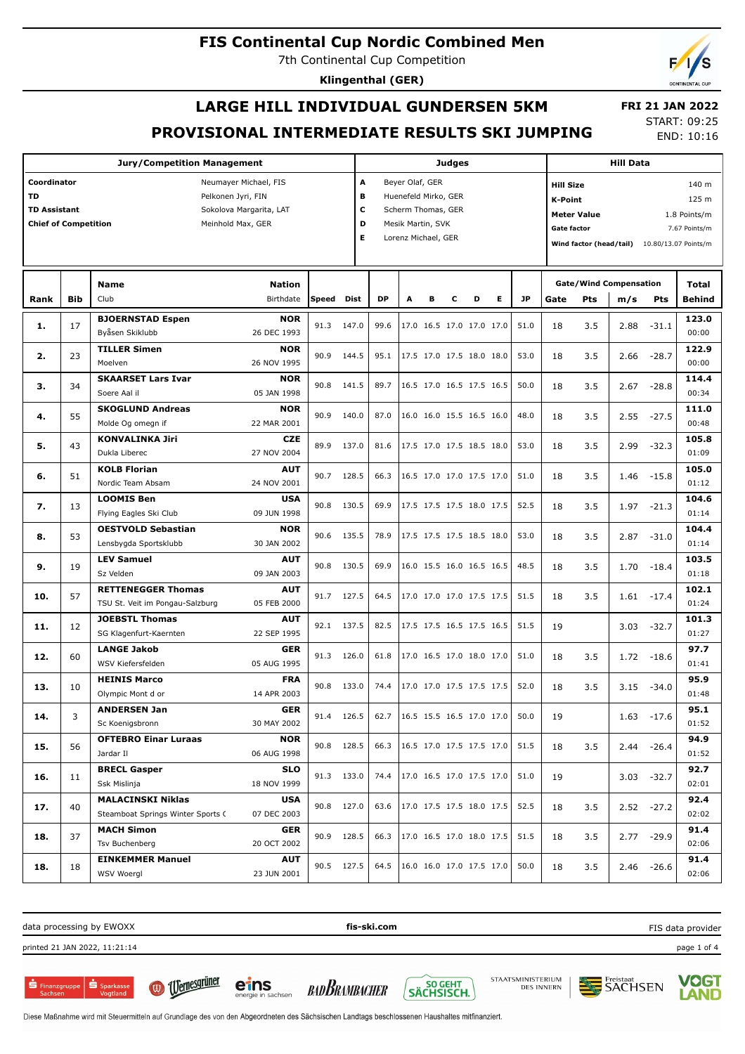7th Continental Cup Competition

**Klingenthal (GER)**

# **LARGE HILL INDIVIDUAL GUNDERSEN 5KM PROVISIONAL INTERMEDIATE RESULTS SKI JUMPING**

 **FRI 21 JAN 2022** START: 09:25 END: 10:16

|                             |            | <b>Jury/Competition Management</b> |                         |              |       |                         | <b>Judges</b> |                     | <b>Hill Data</b>     |                          |   |                  |                                                 |                                    |      |               |               |  |  |
|-----------------------------|------------|------------------------------------|-------------------------|--------------|-------|-------------------------|---------------|---------------------|----------------------|--------------------------|---|------------------|-------------------------------------------------|------------------------------------|------|---------------|---------------|--|--|
| Coordinator                 |            |                                    | Neumayer Michael, FIS   |              |       | A                       |               | Beyer Olaf, GER     |                      |                          |   |                  | 140 m<br><b>Hill Size</b>                       |                                    |      |               |               |  |  |
| TD                          |            | Pelkonen Jyri, FIN                 |                         |              |       | B                       |               |                     | Huenefeld Mirko, GER |                          |   | 125 m<br>K-Point |                                                 |                                    |      |               |               |  |  |
| <b>TD Assistant</b>         |            |                                    | Sokolova Margarita, LAT |              |       | c<br>Scherm Thomas, GER |               |                     |                      |                          |   |                  |                                                 | <b>Meter Value</b><br>1.8 Points/m |      |               |               |  |  |
| <b>Chief of Competition</b> |            |                                    | Meinhold Max, GER       |              |       | D<br>Mesik Martin, SVK  |               |                     |                      |                          |   |                  |                                                 |                                    |      |               |               |  |  |
|                             |            |                                    |                         |              |       | Е                       |               | Lorenz Michael, GER |                      |                          |   |                  | <b>Gate factor</b><br>7.67 Points/m             |                                    |      |               |               |  |  |
|                             |            |                                    |                         |              |       |                         |               |                     |                      |                          |   |                  | Wind factor (head/tail)<br>10.80/13.07 Points/m |                                    |      |               |               |  |  |
|                             |            |                                    |                         |              |       |                         |               |                     |                      |                          |   |                  |                                                 |                                    |      |               |               |  |  |
|                             |            | <b>Name</b>                        | <b>Nation</b>           |              |       |                         |               |                     |                      |                          |   |                  |                                                 | <b>Gate/Wind Compensation</b>      |      |               | Total         |  |  |
| Rank                        | <b>Bib</b> | Club                               | Birthdate               | Speed        | Dist  | <b>DP</b>               | A             |                     | c                    | D                        | Е | JP               | Gate                                            | Pts                                | m/s  | Pts           | <b>Behind</b> |  |  |
| 1.                          | 17         | <b>BJOERNSTAD Espen</b>            | <b>NOR</b>              | 91.3         | 147.0 | 99.6                    |               |                     |                      | 17.0 16.5 17.0 17.0 17.0 |   | 51.0             | 18                                              | 3.5                                | 2.88 | $-31.1$       | 123.0         |  |  |
|                             |            | Byåsen Skiklubb                    | 26 DEC 1993             |              |       |                         |               |                     |                      |                          |   |                  |                                                 |                                    |      |               | 00:00         |  |  |
|                             |            | <b>TILLER Simen</b>                | <b>NOR</b>              |              |       |                         |               |                     |                      |                          |   |                  |                                                 |                                    |      |               | 122.9         |  |  |
| 2.                          | 23         | Moelven                            | 26 NOV 1995             | 90.9         | 144.5 | 95.1                    |               |                     |                      | 17.5 17.0 17.5 18.0 18.0 |   | 53.0             | 18                                              | 3.5                                | 2.66 | $-28.7$       | 00:00         |  |  |
|                             |            | <b>SKAARSET Lars Ivar</b>          | <b>NOR</b>              |              |       |                         |               |                     |                      |                          |   |                  |                                                 |                                    |      |               | 114.4         |  |  |
| з.                          | 34         | Soere Aal il                       | 05 JAN 1998             | 90.8         | 141.5 | 89.7                    |               |                     |                      | 16.5 17.0 16.5 17.5 16.5 |   | 50.0             | 18                                              | 3.5                                | 2.67 | $-28.8$       | 00:34         |  |  |
|                             |            | <b>SKOGLUND Andreas</b>            | <b>NOR</b>              |              |       |                         |               |                     |                      |                          |   |                  |                                                 |                                    |      |               | 111.0         |  |  |
| 4.                          | 55         | Molde Og omegn if                  | 22 MAR 2001             | 90.9         | 140.0 | 87.0                    |               |                     |                      | 16.0 16.0 15.5 16.5 16.0 |   | 48.0             | 18                                              | 3.5                                | 2.55 | -27.5         | 00:48         |  |  |
|                             |            | <b>KONVALINKA Jiri</b>             | <b>CZE</b>              |              |       |                         |               |                     |                      |                          |   |                  |                                                 |                                    |      |               | 105.8         |  |  |
| 5.                          | 43         | Dukla Liberec                      | 27 NOV 2004             | 89.9         | 137.0 | 81.6                    |               |                     |                      | 17.5 17.0 17.5 18.5 18.0 |   | 53.0             | 18                                              | 3.5                                | 2.99 | $-32.3$       | 01:09         |  |  |
|                             |            | <b>KOLB Florian</b>                | <b>AUT</b>              |              |       |                         |               |                     |                      |                          |   |                  |                                                 |                                    |      |               | 105.0         |  |  |
| 6.                          | 51         | Nordic Team Absam                  | 24 NOV 2001             | 90.7         | 128.5 | 66.3                    |               |                     |                      | 16.5 17.0 17.0 17.5 17.0 |   | 51.0             | 18                                              | 3.5                                | 1.46 | $-15.8$       | 01:12         |  |  |
|                             |            | <b>LOOMIS Ben</b>                  | <b>USA</b>              |              |       |                         |               |                     |                      |                          |   |                  |                                                 |                                    |      |               | 104.6         |  |  |
| 7.                          | 13         | Flying Eagles Ski Club             | 09 JUN 1998             | 90.8         | 130.5 | 69.9                    |               |                     |                      | 17.5 17.5 17.5 18.0 17.5 |   | 52.5             | 18                                              | 3.5                                | 1.97 | $-21.3$       | 01:14         |  |  |
|                             |            | <b>OESTVOLD Sebastian</b>          | <b>NOR</b>              |              |       |                         |               |                     |                      |                          |   |                  |                                                 |                                    |      |               | 104.4         |  |  |
| 8.                          | 53         | Lensbygda Sportsklubb              | 30 JAN 2002             | 90.6         | 135.5 | 78.9                    |               |                     |                      | 17.5 17.5 17.5 18.5 18.0 |   | 53.0             | 18                                              | 3.5                                | 2.87 | $-31.0$       | 01:14         |  |  |
|                             |            | <b>LEV Samuel</b>                  | <b>AUT</b>              |              |       |                         |               |                     |                      |                          |   |                  |                                                 |                                    |      |               | 103.5         |  |  |
| 9.                          | 19         | Sz Velden                          | 09 JAN 2003             | 90.8         | 130.5 | 69.9                    |               |                     |                      | 16.0 15.5 16.0 16.5 16.5 |   | 48.5             | 18                                              | 3.5                                | 1.70 | $-18.4$       | 01:18         |  |  |
|                             |            | <b>RETTENEGGER Thomas</b>          | <b>AUT</b>              |              |       |                         |               |                     |                      |                          |   |                  |                                                 |                                    |      |               | 102.1         |  |  |
| 10.                         | 57         | TSU St. Veit im Pongau-Salzburg    | 05 FEB 2000             | 91.7         | 127.5 | 64.5                    |               |                     |                      | 17.0 17.0 17.0 17.5 17.5 |   | 51.5             | 18                                              | 3.5                                |      | $1.61 - 17.4$ | 01:24         |  |  |
|                             |            | <b>JOEBSTL Thomas</b>              | <b>AUT</b>              |              |       |                         |               |                     |                      |                          |   |                  |                                                 |                                    |      |               | 101.3         |  |  |
| 11.                         | 12         | SG Klagenfurt-Kaernten             | 22 SEP 1995             | 92.1         | 137.5 | 82.5                    |               |                     |                      | 17.5 17.5 16.5 17.5 16.5 |   | 51.5             | 19                                              |                                    | 3.03 | $-32.7$       | 01:27         |  |  |
|                             |            | <b>LANGE Jakob</b>                 | GER                     |              |       |                         |               |                     |                      |                          |   |                  |                                                 |                                    |      |               | 97.7          |  |  |
| 12.                         | 60         | WSV Kiefersfelden                  | 05 AUG 1995             | 91.3         | 126.0 | 61.8                    |               |                     |                      | 17.0 16.5 17.0 18.0 17.0 |   | 51.0             | 18                                              | 3.5                                | 1.72 | $-18.6$       | 01:41         |  |  |
|                             |            | <b>HEINIS Marco</b>                | <b>FRA</b>              |              |       |                         |               |                     |                      |                          |   |                  |                                                 |                                    |      |               | 95.9          |  |  |
| 13.                         | 10         | Olympic Mont d or                  | 14 APR 2003             | 90.8         | 133.0 | 74.4                    |               |                     |                      | 17.0 17.0 17.5 17.5 17.5 |   | 52.0             | 18                                              | 3.5                                | 3.15 | -34.0         | 01:48         |  |  |
|                             |            | <b>ANDERSEN Jan</b>                | <b>GER</b>              |              |       |                         |               |                     |                      |                          |   |                  |                                                 |                                    |      |               | 95.1          |  |  |
| 14.                         |            | Sc Koenigsbronn                    | 30 MAY 2002             | $91.4$ 126.5 |       | 62.7                    |               |                     |                      | 16.5 15.5 16.5 17.0 17.0 |   | 50.0             | 19                                              |                                    |      | $1.63 - 17.6$ | 01:52         |  |  |
|                             |            | <b>OFTEBRO Einar Luraas</b>        | <b>NOR</b>              |              |       |                         |               |                     |                      |                          |   |                  |                                                 |                                    |      |               | 94.9          |  |  |
| 15.                         | 56         | Jardar II                          | 06 AUG 1998             | 90.8 128.5   |       | 66.3                    |               |                     |                      | 16.5 17.0 17.5 17.5 17.0 |   | 51.5             | 18                                              | 3.5                                |      | $2.44 - 26.4$ | 01:52         |  |  |
|                             |            | <b>BRECL Gasper</b>                | <b>SLO</b>              |              |       |                         |               |                     |                      |                          |   |                  |                                                 |                                    |      |               | 92.7          |  |  |
| 16.                         | 11         | Ssk Mislinja                       | 18 NOV 1999             | 91.3 133.0   |       | 74.4                    |               |                     |                      | 17.0 16.5 17.0 17.5 17.0 |   | 51.0             | 19                                              |                                    |      | $3.03 - 32.7$ | 02:01         |  |  |
|                             |            | <b>MALACINSKI Niklas</b>           | <b>USA</b>              |              |       |                         |               |                     |                      |                          |   |                  |                                                 |                                    |      |               | 92.4          |  |  |
| 17.                         | 40         | Steamboat Springs Winter Sports C  | 07 DEC 2003             | 90.8         | 127.0 | 63.6                    |               |                     |                      | 17.0 17.5 17.5 18.0 17.5 |   | 52.5             | 18                                              | 3.5                                |      | $2.52 -27.2$  | 02:02         |  |  |
|                             |            | <b>MACH Simon</b>                  | GER                     |              |       |                         |               |                     |                      |                          |   |                  |                                                 |                                    |      |               | 91.4          |  |  |
| 18.                         | 37         | Tsv Buchenberg                     | 20 OCT 2002             | 90.9 128.5   |       | 66.3                    |               |                     |                      | 17.0 16.5 17.0 18.0 17.5 |   | 51.5             | 18                                              | 3.5                                |      | 2.77 -29.9    | 02:06         |  |  |
|                             |            | <b>EINKEMMER Manuel</b>            | <b>AUT</b>              |              |       |                         |               |                     |                      |                          |   |                  |                                                 |                                    |      |               | 91.4          |  |  |
| 18.                         | 18         | WSV Woergl                         | 23 JUN 2001             | 90.5 127.5   |       | 64.5                    |               |                     |                      | 16.0 16.0 17.0 17.5 17.0 |   | 50.0             | 18                                              | 3.5                                |      | $2.46 - 26.6$ | 02:06         |  |  |
|                             |            |                                    |                         |              |       |                         |               |                     |                      |                          |   |                  |                                                 |                                    |      |               |               |  |  |

data processing by EWOXX **fis-ski.com**

**BAD BRAMBACHER** 

printed 21 JAN 2022, 11:21:14 page 1 of 4



SO GEHT<br>SÄCHSISCH.



FIS data provider





Diese Maßnahme wird mit Steuermitteln auf Grundlage des von den Abgeordneten des Sächsischen Landtags beschlossenen Haushaltes mitfinanziert.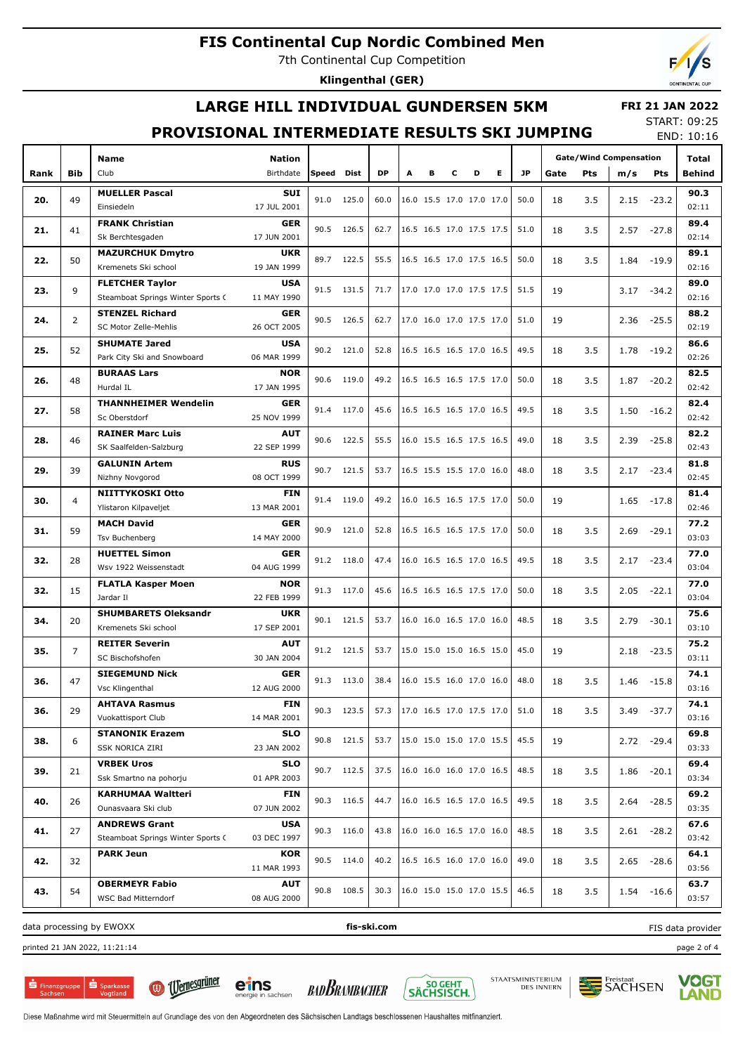7th Continental Cup Competition

**Klingenthal (GER)**

### **LARGE HILL INDIVIDUAL GUNDERSEN 5KM**

 **FRI 21 JAN 2022** START: 09:25

# **PROVISIONAL INTERMEDIATE RESULTS SKI JUMPING**

END: 10:16

|      |                |                                   |                           |       |             |      |   |   |                          |   |   |           |      |            | <b>Gate/Wind Compensation</b> |               | END. IU.IO<br>Total |
|------|----------------|-----------------------------------|---------------------------|-------|-------------|------|---|---|--------------------------|---|---|-----------|------|------------|-------------------------------|---------------|---------------------|
|      |                | <b>Name</b>                       | <b>Nation</b>             |       |             |      |   |   |                          |   |   |           |      |            |                               |               |                     |
| Rank | <b>Bib</b>     | Club                              | Birthdate                 | Speed | <b>Dist</b> | DP   | A | в | с                        | D | Е | <b>JP</b> | Gate | <b>Pts</b> | m/s                           | Pts           | Behind              |
| 20.  | 49             | <b>MUELLER Pascal</b>             | <b>SUI</b>                | 91.0  | 125.0       | 60.0 |   |   | 16.0 15.5 17.0 17.0 17.0 |   |   | 50.0      | 18   | 3.5        | 2.15                          | $-23.2$       | 90.3                |
|      |                | Einsiedeln                        | 17 JUL 2001               |       |             |      |   |   |                          |   |   |           |      |            |                               |               | 02:11               |
| 21.  | 41             | <b>FRANK Christian</b>            | <b>GER</b>                | 90.5  | 126.5       | 62.7 |   |   | 16.5 16.5 17.0 17.5 17.5 |   |   | 51.0      | 18   | 3.5        | 2.57                          | $-27.8$       | 89.4                |
|      |                | Sk Berchtesgaden                  | 17 JUN 2001               |       |             |      |   |   |                          |   |   |           |      |            |                               |               | 02:14               |
| 22.  | 50             | <b>MAZURCHUK Dmytro</b>           | <b>UKR</b>                | 89.7  | 122.5       | 55.5 |   |   | 16.5 16.5 17.0 17.5 16.5 |   |   | 50.0      | 18   | 3.5        | 1.84                          | $-19.9$       | 89.1                |
|      |                | Kremenets Ski school              | 19 JAN 1999               |       |             |      |   |   |                          |   |   |           |      |            |                               |               | 02:16               |
| 23.  | 9              | <b>FLETCHER Taylor</b>            | <b>USA</b>                | 91.5  | 131.5       | 71.7 |   |   | 17.0 17.0 17.0 17.5 17.5 |   |   | 51.5      | 19   |            | 3.17                          | $-34.2$       | 89.0                |
|      |                | Steamboat Springs Winter Sports C | 11 MAY 1990               |       |             |      |   |   |                          |   |   |           |      |            |                               |               | 02:16               |
| 24.  | $\overline{2}$ | <b>STENZEL Richard</b>            | <b>GER</b>                | 90.5  | 126.5       | 62.7 |   |   | 17.0 16.0 17.0 17.5 17.0 |   |   | 51.0      | 19   |            | 2.36                          | $-25.5$       | 88.2                |
|      |                | SC Motor Zelle-Mehlis             | 26 OCT 2005               |       |             |      |   |   |                          |   |   |           |      |            |                               |               | 02:19               |
| 25.  | 52             | <b>SHUMATE Jared</b>              | <b>USA</b>                | 90.2  | 121.0       | 52.8 |   |   | 16.5 16.5 16.5 17.0 16.5 |   |   | 49.5      | 18   | 3.5        | 1.78                          | $-19.2$       | 86.6                |
|      |                | Park City Ski and Snowboard       | 06 MAR 1999               |       |             |      |   |   |                          |   |   |           |      |            |                               |               | 02:26               |
| 26.  | 48             | <b>BURAAS Lars</b><br>Hurdal IL   | <b>NOR</b><br>17 JAN 1995 | 90.6  | 119.0       | 49.2 |   |   | 16.5 16.5 16.5 17.5 17.0 |   |   | 50.0      | 18   | 3.5        | 1.87                          | $-20.2$       | 82.5<br>02:42       |
|      |                | <b>THANNHEIMER Wendelin</b>       | <b>GER</b>                |       |             |      |   |   |                          |   |   |           |      |            |                               |               | 82.4                |
| 27.  | 58             | Sc Oberstdorf                     | 25 NOV 1999               | 91.4  | 117.0       | 45.6 |   |   | 16.5 16.5 16.5 17.0 16.5 |   |   | 49.5      | 18   | 3.5        | 1.50                          | $-16.2$       | 02:42               |
|      |                | <b>RAINER Marc Luis</b>           | <b>AUT</b>                |       |             |      |   |   |                          |   |   |           |      |            |                               |               | 82.2                |
| 28.  | 46             | SK Saalfelden-Salzburg            | 22 SEP 1999               | 90.6  | 122.5       | 55.5 |   |   | 16.0 15.5 16.5 17.5 16.5 |   |   | 49.0      | 18   | 3.5        | 2.39                          | $-25.8$       | 02:43               |
|      |                | <b>GALUNIN Artem</b>              | <b>RUS</b>                |       |             |      |   |   |                          |   |   |           |      |            |                               |               | 81.8                |
| 29.  | 39             | Nizhny Novgorod                   | 08 OCT 1999               | 90.7  | 121.5       | 53.7 |   |   | 16.5 15.5 15.5 17.0 16.0 |   |   | 48.0      | 18   | 3.5        | 2.17                          | $-23.4$       | 02:45               |
|      |                | NIITTYKOSKI Otto                  | <b>FIN</b>                |       |             |      |   |   |                          |   |   |           |      |            |                               |               | 81.4                |
| 30.  | 4              | Ylistaron Kilpaveljet             | 13 MAR 2001               | 91.4  | 119.0       | 49.2 |   |   | 16.0 16.5 16.5 17.5 17.0 |   |   | 50.0      | 19   |            | 1.65                          | $-17.8$       | 02:46               |
|      |                | <b>MACH David</b>                 | <b>GER</b>                |       |             |      |   |   |                          |   |   |           |      |            |                               |               | 77.2                |
| 31.  | 59             | Tsv Buchenberg                    | 14 MAY 2000               | 90.9  | 121.0       | 52.8 |   |   | 16.5 16.5 16.5 17.5 17.0 |   |   | 50.0      | 18   | 3.5        | 2.69                          | $-29.1$       | 03:03               |
|      |                | <b>HUETTEL Simon</b>              | <b>GER</b>                |       |             |      |   |   |                          |   |   |           |      |            |                               |               | 77.0                |
| 32.  | 28             | Wsv 1922 Weissenstadt             | 04 AUG 1999               |       | 91.2 118.0  | 47.4 |   |   | 16.0 16.5 16.5 17.0 16.5 |   |   | 49.5      | 18   | 3.5        | 2.17                          | $-23.4$       | 03:04               |
|      |                | <b>FLATLA Kasper Moen</b>         | <b>NOR</b>                |       |             |      |   |   |                          |   |   |           |      |            |                               |               | 77.0                |
| 32.  | 15             | Jardar II                         | 22 FEB 1999               |       | 91.3 117.0  | 45.6 |   |   | 16.5 16.5 16.5 17.5 17.0 |   |   | 50.0      | 18   | 3.5        | 2.05                          | $-22.1$       | 03:04               |
|      |                | <b>SHUMBARETS Oleksandr</b>       | <b>UKR</b>                |       |             |      |   |   |                          |   |   |           |      |            |                               |               | 75.6                |
| 34.  | 20             | Kremenets Ski school              | 17 SEP 2001               |       | 90.1 121.5  | 53.7 |   |   | 16.0 16.0 16.5 17.0 16.0 |   |   | 48.5      | 18   | 3.5        | 2.79                          | $-30.1$       | 03:10               |
| 35.  | 7              | <b>REITER Severin</b>             | <b>AUT</b>                |       | 91.2 121.5  | 53.7 |   |   | 15.0 15.0 15.0 16.5 15.0 |   |   | 45.0      | 19   |            | 2.18                          | $-23.5$       | 75.2                |
|      |                | SC Bischofshofen                  | 30 JAN 2004               |       |             |      |   |   |                          |   |   |           |      |            |                               |               | 03:11               |
| 36.  | 47             | <b>SIEGEMUND Nick</b>             | <b>GER</b>                |       | 91.3 113.0  | 38.4 |   |   | 16.0 15.5 16.0 17.0 16.0 |   |   | 48.0      | 18   | 3.5        | 1.46                          | $-15.8$       | 74.1                |
|      |                | Vsc Klingenthal                   | 12 AUG 2000               |       |             |      |   |   |                          |   |   |           |      |            |                               |               | 03:16               |
| 36.  | 29             | <b>AHTAVA Rasmus</b>              | FIN                       |       | 90.3 123.5  | 57.3 |   |   | 17.0 16.5 17.0 17.5 17.0 |   |   | 51.0      | 18   | 3.5        | 3.49                          | $-37.7$       | 74.1                |
|      |                | Vuokattisport Club                | 14 MAR 2001               |       |             |      |   |   |                          |   |   |           |      |            |                               |               | 03:16               |
| 38.  | 6              | <b>STANONIK Erazem</b>            | <b>SLO</b>                |       | 90.8 121.5  | 53.7 |   |   | 15.0 15.0 15.0 17.0 15.5 |   |   | 45.5      | 19   |            |                               | 2.72 -29.4    | 69.8                |
|      |                | SSK NORICA ZIRI                   | 23 JAN 2002               |       |             |      |   |   |                          |   |   |           |      |            |                               |               | 03:33               |
| 39.  | 21             | <b>VRBEK Uros</b>                 | <b>SLO</b>                |       | 90.7 112.5  | 37.5 |   |   | 16.0 16.0 16.0 17.0 16.5 |   |   | 48.5      | 18   | 3.5        |                               | $1.86 - 20.1$ | 69.4                |
|      |                | Ssk Smartno na pohorju            | 01 APR 2003               |       |             |      |   |   |                          |   |   |           |      |            |                               |               | 03:34               |
| 40.  | 26             | <b>KARHUMAA Waltteri</b>          | FIN                       |       | 90.3 116.5  | 44.7 |   |   | 16.0 16.5 16.5 17.0 16.5 |   |   | 49.5      | 18   | 3.5        |                               | $2.64 - 28.5$ | 69.2                |
|      |                | Ounasvaara Ski club               | 07 JUN 2002               |       |             |      |   |   |                          |   |   |           |      |            |                               |               | 03:35               |
| 41.  | 27             | <b>ANDREWS Grant</b>              | <b>USA</b>                |       | 90.3 116.0  | 43.8 |   |   | 16.0 16.0 16.5 17.0 16.0 |   |   | 48.5      | 18   | 3.5        |                               | 2.61 -28.2    | 67.6                |
|      |                | Steamboat Springs Winter Sports C | 03 DEC 1997               |       |             |      |   |   |                          |   |   |           |      |            |                               |               | 03:42               |
| 42.  | 32             | <b>PARK Jeun</b>                  | KOR                       |       | 90.5 114.0  | 40.2 |   |   | 16.5 16.5 16.0 17.0 16.0 |   |   | 49.0      | 18   | 3.5        |                               | 2.65 -28.6    | 64.1                |
|      |                |                                   | 11 MAR 1993               |       |             |      |   |   |                          |   |   |           |      |            |                               |               | 03:56               |
| 43.  | 54             | <b>OBERMEYR Fabio</b>             | <b>AUT</b>                |       | 90.8 108.5  | 30.3 |   |   | 16.0 15.0 15.0 17.0 15.5 |   |   | 46.5      | 18   | 3.5        |                               | $1.54 - 16.6$ | 63.7                |
|      |                | WSC Bad Mitterndorf               | 08 AUG 2000               |       |             |      |   |   |                          |   |   |           |      |            |                               |               | 03:57               |

data processing by EWOXX **fis-ski.com**

printed 21 JAN 2022, 11:21:14 page 2 of 4

 $S_{\text{parkass}}$  $\mathbf{S}$  Finanzgruppe



**BADBRAMBACHER** 



STAATSMINISTERIUM<br>DES INNERN



FIS data provider

**VOGT** LAND

Diese Maßnahme wird mit Steuermitteln auf Grundlage des von den Abgeordneten des Sächsischen Landtags beschlossenen Haushaltes mitfinanziert.

eins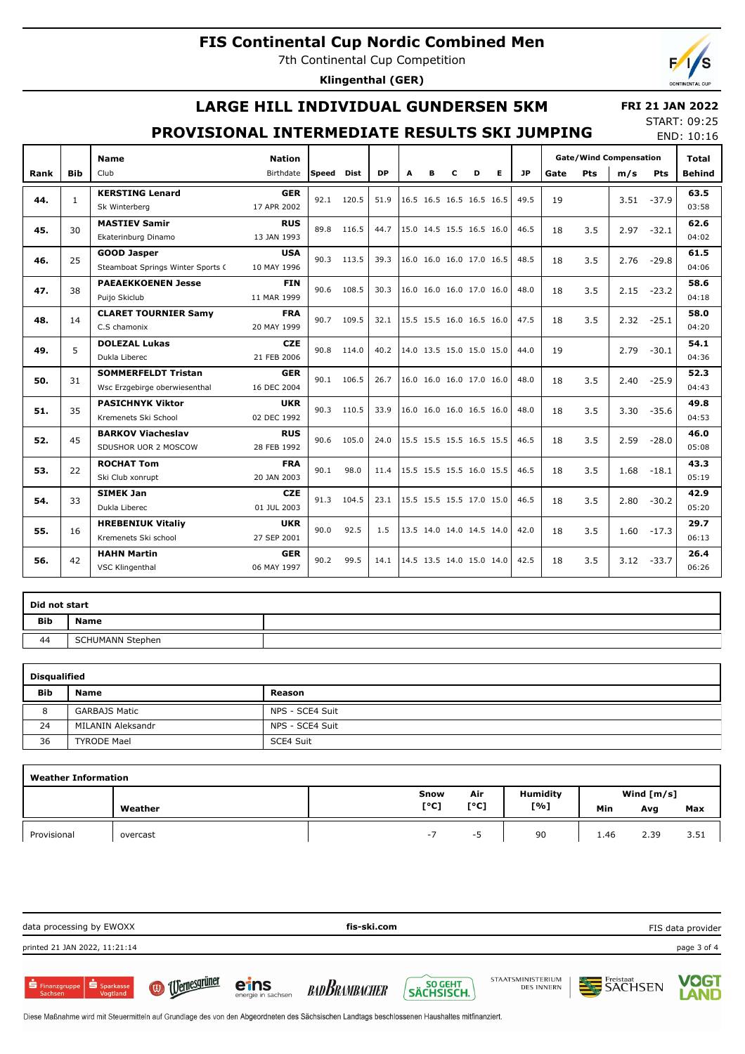7th Continental Cup Competition

**Klingenthal (GER)**

## **LARGE HILL INDIVIDUAL GUNDERSEN 5KM**

#### **FRI 21 JAN 2022** START: 09:25

### **PROVISIONAL INTERMEDIATE RESULTS SKI JUMPING**

END: 10:16

|      |              | <b>Name</b>                       | <b>Nation</b> |              |             |           |                          |   |                          |                          |                          |      |      |            | <b>Gate/Wind Compensation</b> |               | <b>Total</b>  |       |
|------|--------------|-----------------------------------|---------------|--------------|-------------|-----------|--------------------------|---|--------------------------|--------------------------|--------------------------|------|------|------------|-------------------------------|---------------|---------------|-------|
| Rank | <b>Bib</b>   | Club                              | Birthdate     | <b>Speed</b> | <b>Dist</b> | <b>DP</b> | A                        | B | c                        | D                        | Е                        | JP   | Gate | <b>Pts</b> | m/s                           | Pts           | <b>Behind</b> |       |
|      |              | <b>KERSTING Lenard</b>            | <b>GER</b>    | 92.1         | 120.5       | 51.9      | 16.5 16.5 16.5 16.5 16.5 |   |                          |                          |                          |      |      |            |                               |               | 63.5          |       |
| 44.  | $\mathbf{1}$ | Sk Winterberg                     | 17 APR 2002   |              |             |           |                          |   |                          |                          |                          | 49.5 | 19   |            |                               | $3.51 - 37.9$ | 03:58         |       |
| 45.  | 30           | <b>MASTIEV Samir</b>              | <b>RUS</b>    |              | 89.8 116.5  | 44.7      |                          |   |                          | 15.0 14.5 15.5 16.5 16.0 |                          | 46.5 | 18   | 3.5        | 2.97                          | $-32.1$       | 62.6          |       |
|      |              | Ekaterinburg Dinamo               | 13 JAN 1993   |              |             |           |                          |   |                          |                          |                          |      |      |            |                               |               | 04:02         |       |
| 46.  | 25           | <b>GOOD Jasper</b>                | <b>USA</b>    | 90.3         | 113.5       | 39.3      |                          |   | 16.0 16.0 16.0 17.0 16.5 |                          |                          | 48.5 | 18   | 3.5        | 2.76                          | $-29.8$       | 61.5          |       |
|      |              | Steamboat Springs Winter Sports ( | 10 MAY 1996   |              |             |           |                          |   |                          |                          |                          |      |      |            |                               |               | 04:06         |       |
| 47.  | 38           | <b>PAEAEKKOENEN Jesse</b>         | <b>FIN</b>    | 90.6         | 108.5       | 30.3      |                          |   | 16.0 16.0 16.0 17.0 16.0 |                          |                          | 48.0 | 18   | 3.5        | 2.15                          | $-23.2$       | 58.6          |       |
|      |              | Puijo Skiclub                     | 11 MAR 1999   |              |             |           |                          |   |                          |                          |                          |      |      |            |                               |               | 04:18         |       |
| 48.  | 14           | <b>CLARET TOURNIER Samy</b>       | <b>FRA</b>    | 90.7         | 109.5       | 32.1      |                          |   | 15.5 15.5 16.0 16.5 16.0 |                          |                          | 47.5 | 18   | 3.5        | 2.32                          | $-25.1$       | 58.0          |       |
|      |              | C.S chamonix                      | 20 MAY 1999   |              |             |           |                          |   |                          |                          |                          |      |      |            |                               |               | 04:20         |       |
| 49.  | 5            | <b>DOLEZAL Lukas</b>              | <b>CZE</b>    | 90.8         | 114.0       | 40.2      |                          |   |                          |                          | 14.0 13.5 15.0 15.0 15.0 | 44.0 | 19   |            | 2.79                          | $-30.1$       | 54.1          |       |
|      |              | Dukla Liberec                     | 21 FEB 2006   |              |             |           |                          |   |                          |                          |                          |      |      |            |                               |               | 04:36         |       |
| 50.  | 31           | <b>SOMMERFELDT Tristan</b>        | <b>GER</b>    | 90.1         | 106.5       | 26.7      |                          |   | 16.0 16.0 16.0 17.0 16.0 |                          |                          | 48.0 | 18   | 3.5        | 2.40                          | $-25.9$       | 52.3          |       |
|      |              | Wsc Erzgebirge oberwiesenthal     | 16 DEC 2004   |              |             |           |                          |   |                          |                          |                          |      |      |            |                               |               |               | 04:43 |
| 51.  | 35           | <b>PASICHNYK Viktor</b>           | <b>UKR</b>    | 90.3         | 110.5       | 33.9      |                          |   | 16.0 16.0 16.0 16.5 16.0 |                          |                          | 48.0 | 18   | 3.5        | 3.30                          | $-35.6$       | 49.8          |       |
|      |              | Kremenets Ski School              | 02 DEC 1992   |              |             |           |                          |   |                          |                          |                          |      |      |            |                               |               | 04:53         |       |
| 52.  | 45           | <b>BARKOV Viacheslav</b>          | <b>RUS</b>    | 90.6         | 105.0       | 24.0      |                          |   | 15.5 15.5 15.5 16.5 15.5 |                          |                          | 46.5 | 18   | 3.5        | 2.59                          | $-28.0$       | 46.0          |       |
|      |              | SDUSHOR UOR 2 MOSCOW              | 28 FEB 1992   |              |             |           |                          |   |                          |                          |                          |      |      |            |                               |               | 05:08         |       |
| 53.  | 22           | <b>ROCHAT Tom</b>                 | <b>FRA</b>    | 90.1         | 98.0        | 11.4      |                          |   | 15.5 15.5 15.5 16.0 15.5 |                          |                          | 46.5 | 18   | 3.5        | 1.68                          | $-18.1$       | 43.3          |       |
|      |              | Ski Club xonrupt                  | 20 JAN 2003   |              |             |           |                          |   |                          |                          |                          |      |      |            |                               |               | 05:19         |       |
| 54.  | 33           | <b>SIMEK Jan</b>                  | <b>CZE</b>    | 91.3         | 104.5       | 23.1      |                          |   | 15.5 15.5 15.5 17.0 15.0 |                          |                          | 46.5 | 18   | 3.5        | 2.80                          | $-30.2$       | 42.9          |       |
|      |              | Dukla Liberec                     | 01 JUL 2003   |              |             |           |                          |   |                          |                          |                          |      |      |            |                               |               | 05:20         |       |
| 55.  | 16           | <b>HREBENIUK Vitaliy</b>          | <b>UKR</b>    | 90.0         | 92.5        | 1.5       |                          |   |                          |                          |                          |      |      | 3.5        | 1.60                          | $-17.3$       | 29.7          |       |
|      |              | Kremenets Ski school              | 27 SEP 2001   |              |             |           |                          |   |                          | 13.5 14.0 14.0 14.5 14.0 |                          | 42.0 | 18   |            |                               |               | 06:13         |       |
| 56.  | 42           | <b>HAHN Martin</b>                | <b>GER</b>    | 90.2         | 99.5        | 14.1      |                          |   |                          |                          |                          | 42.5 | 18   | 3.5        |                               |               | 26.4          |       |
|      |              | VSC Klingenthal                   | 06 MAY 1997   |              |             |           | 14.5 13.5 14.0 15.0 14.0 |   |                          |                          |                          |      |      |            |                               | $3.12 - 33.7$ | 06:26         |       |

| Did not start |                  |  |  |  |  |  |  |  |  |  |
|---------------|------------------|--|--|--|--|--|--|--|--|--|
| <b>Bib</b>    | Name             |  |  |  |  |  |  |  |  |  |
| 44            | SCHUMANN Stephen |  |  |  |  |  |  |  |  |  |

| <b>Disqualified</b> |                      |                 |  |  |  |  |  |  |  |  |  |
|---------------------|----------------------|-----------------|--|--|--|--|--|--|--|--|--|
| <b>Bib</b>          | <b>Name</b>          | Reason          |  |  |  |  |  |  |  |  |  |
| 8                   | <b>GARBAJS Matic</b> | NPS - SCE4 Suit |  |  |  |  |  |  |  |  |  |
| 24                  | MILANIN Aleksandr    | NPS - SCE4 Suit |  |  |  |  |  |  |  |  |  |
| 36                  | <b>TYRODE Mael</b>   | SCE4 Suit       |  |  |  |  |  |  |  |  |  |

| <b>Weather Information</b> |          |      |      |                 |      |              |      |  |  |  |  |  |  |
|----------------------------|----------|------|------|-----------------|------|--------------|------|--|--|--|--|--|--|
|                            |          | Snow | Air  | <b>Humidity</b> |      | Wind $[m/s]$ |      |  |  |  |  |  |  |
|                            | Weather  | [°C] | [°C] | [%]             | Min  | Avg          | Max  |  |  |  |  |  |  |
| Provisional                | overcast | $-1$ | --   | 90              | 1.46 | 2.39         | 3.51 |  |  |  |  |  |  |

| data processing by EWOXX                      |                  |                            | fis-ski.com          |                         |                                        |                | FIS data provider    |
|-----------------------------------------------|------------------|----------------------------|----------------------|-------------------------|----------------------------------------|----------------|----------------------|
| printed 21 JAN 2022, 11:21:14                 |                  |                            |                      |                         |                                        |                | page 3 of 4          |
| Sparkasse<br><b>S</b> Finanzgruppe<br>Sachsen | (a) Uernesgrüner | eins<br>energie in sachsen | <b>BADBRAMBACHER</b> | SO GEHT \<br>SÄCHSISCH. | STAATSMINISTERIUM<br><b>DES INNERN</b> | <b>SACHSEN</b> | <b>VOGT<br/>LAND</b> |

Diese Maßnahme wird mit Steuermitteln auf Grundlage des von den Abgeordneten des Sächsischen Landtags beschlossenen Haushaltes mitfinanziert.